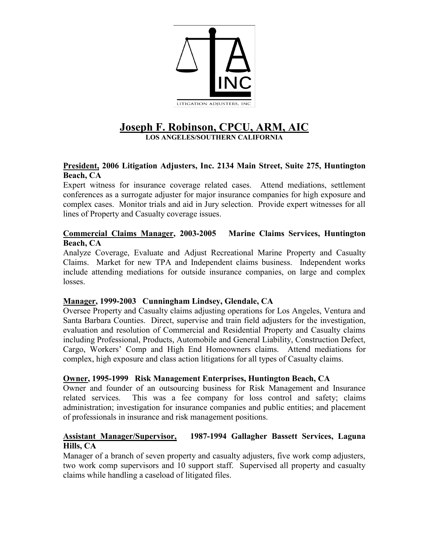

## **Joseph F. Robinson, CPCU, ARM. LOS ANGELES/SOUTHERN CALIFORNIA**

### **President, 2006 Litigation Adjusters, Inc. 2134 Main Street, Suite 275, Huntington Beach, CA**

Expert witness for insurance coverage related cases. Attend mediations, settlement conferences as a surrogate adjuster for major insurance companies for high exposure and complex cases. Monitor trials and aid in Jury selection. Provide expert witnesses for all lines of Property and Casualty coverage issues.

#### **Commercial Claims Manager, 2003-2005 Marine Claims Services, Huntington Beach, CA**

Analyze Coverage, Evaluate and Adjust Recreational Marine Property and Casualty Claims. Market for new TPA and Independent claims business. Independent works include attending mediations for outside insurance companies, on large and complex losses.

#### **Manager, 1999-2003 Cunningham Lindsey, Glendale, CA**

Oversee Property and Casualty claims adjusting operations for Los Angeles, Ventura and Santa Barbara Counties. Direct, supervise and train field adjusters for the investigation, evaluation and resolution of Commercial and Residential Property and Casualty claims including Professional, Products, Automobile and General Liability, Construction Defect, Cargo, Workers' Comp and High End Homeowners claims. Attend mediations for complex, high exposure and class action litigations for all types of Casualty claims.

#### **Owner, 1995-1999 Risk Management Enterprises, Huntington Beach, CA**

Owner and founder of an outsourcing business for Risk Management and Insurance related services. This was a fee company for loss control and safety; claims administration; investigation for insurance companies and public entities; and placement of professionals in insurance and risk management positions.

#### **Assistant Manager/Supervisor, 1987-1994 Gallagher Bassett Services, Laguna Hills, CA**

Manager of a branch of seven property and casualty adjusters, five work comp adjusters, two work comp supervisors and 10 support staff. Supervised all property and casualty claims while handling a caseload of litigated files.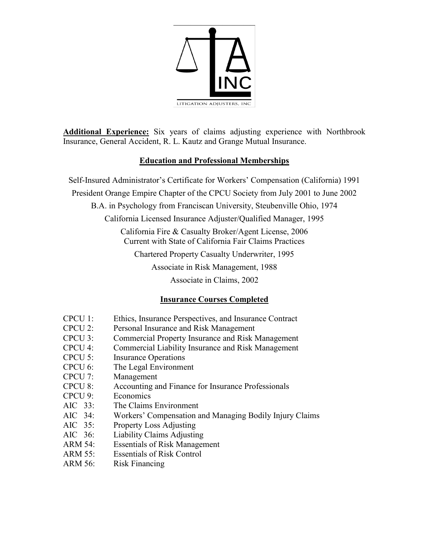

**Additional Experience:** Six years of claims adjusting experience with Northbrook Insurance, General Accident, R. L. Kautz and Grange Mutual Insurance.

## **Education and Professional Memberships**

Self-Insured Administrator's Certificate for Workers' Compensation (California) 1991 President Orange Empire Chapter of the CPCU Society from July 2001 to June 2002 B.A. in Psychology from Franciscan University, Steubenville Ohio, 1974 California Licensed Insurance Adjuster/Qualified Manager, 1995 California Fire & Casualty Broker/Agent License, 2006 Current with State of California Fair Claims Practices Chartered Property Casualty Underwriter, 1995 Associate in Risk Management, 1988 Associate in Claims, 2002

# **Insurance Courses Completed**

| Ethics, Insurance Perspectives, and Insurance Contract<br>$CPCU$ 1: |  |
|---------------------------------------------------------------------|--|
|---------------------------------------------------------------------|--|

- CPCU 2: Personal Insurance and Risk Management
- CPCU 3: Commercial Property Insurance and Risk Management
- CPCU 4: Commercial Liability Insurance and Risk Management
- CPCU 5: Insurance Operations
- CPCU 6: The Legal Environment
- CPCU 7: Management
- CPCU 8: Accounting and Finance for Insurance Professionals
- CPCU 9: Economics
- AIC 33: The Claims Environment
- AIC 34: Workers' Compensation and Managing Bodily Injury Claims
- AIC 35: Property Loss Adjusting
- AIC 36: Liability Claims Adjusting
- ARM 54: Essentials of Risk Management
- ARM 55: Essentials of Risk Control
- ARM 56: Risk Financing